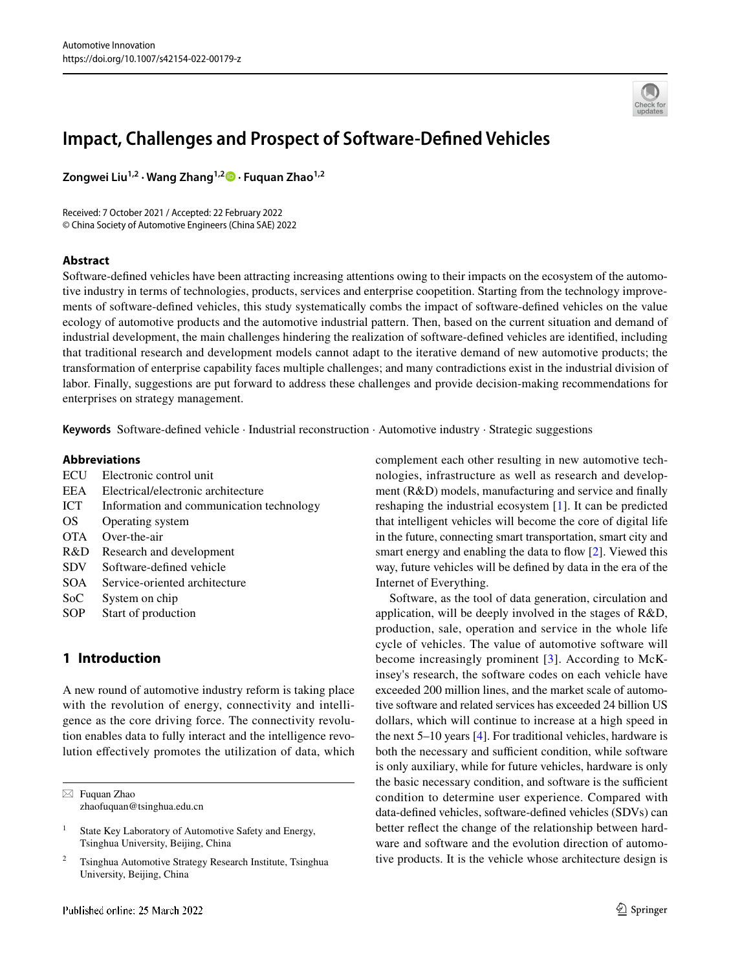

# **Impact, Challenges and Prospect of Software‑Defned Vehicles**

**Zongwei Liu1,2 · Wang Zhang1,2 · Fuquan Zhao1,2**

Received: 7 October 2021 / Accepted: 22 February 2022 © China Society of Automotive Engineers (China SAE) 2022

## **Abstract**

Software-defned vehicles have been attracting increasing attentions owing to their impacts on the ecosystem of the automotive industry in terms of technologies, products, services and enterprise coopetition. Starting from the technology improvements of software-defned vehicles, this study systematically combs the impact of software-defned vehicles on the value ecology of automotive products and the automotive industrial pattern. Then, based on the current situation and demand of industrial development, the main challenges hindering the realization of software-defned vehicles are identifed, including that traditional research and development models cannot adapt to the iterative demand of new automotive products; the transformation of enterprise capability faces multiple challenges; and many contradictions exist in the industrial division of labor. Finally, suggestions are put forward to address these challenges and provide decision-making recommendations for enterprises on strategy management.

**Keywords** Software-defned vehicle · Industrial reconstruction · Automotive industry · Strategic suggestions

#### **Abbreviations**

| ECU        | Electronic control unit                  |  |
|------------|------------------------------------------|--|
| <b>EEA</b> | Electrical/electronic architecture       |  |
| ICT        | Information and communication technology |  |
| OS         | Operating system                         |  |
| <b>OTA</b> | Over-the-air                             |  |
| R&D        | Research and development                 |  |
| <b>SDV</b> | Software-defined vehicle                 |  |
| <b>SOA</b> | Service-oriented architecture            |  |
| SoC        | System on chip                           |  |
|            |                                          |  |

SOP Start of production

# **1 Introduction**

A new round of automotive industry reform is taking place with the revolution of energy, connectivity and intelligence as the core driving force. The connectivity revolution enables data to fully interact and the intelligence revolution efectively promotes the utilization of data, which complement each other resulting in new automotive technologies, infrastructure as well as research and development (R&D) models, manufacturing and service and fnally reshaping the industrial ecosystem [[1](#page-12-0)]. It can be predicted that intelligent vehicles will become the core of digital life in the future, connecting smart transportation, smart city and smart energy and enabling the data to flow  $[2]$  $[2]$  $[2]$ . Viewed this way, future vehicles will be defned by data in the era of the Internet of Everything.

Software, as the tool of data generation, circulation and application, will be deeply involved in the stages of R&D, production, sale, operation and service in the whole life cycle of vehicles. The value of automotive software will become increasingly prominent [\[3\]](#page-12-2). According to McKinsey's research, the software codes on each vehicle have exceeded 200 million lines, and the market scale of automotive software and related services has exceeded 24 billion US dollars, which will continue to increase at a high speed in the next 5–10 years [[4\]](#page-12-3). For traditional vehicles, hardware is both the necessary and sufficient condition, while software is only auxiliary, while for future vehicles, hardware is only the basic necessary condition, and software is the sufficient condition to determine user experience. Compared with data-defned vehicles, software-defned vehicles (SDVs) can better refect the change of the relationship between hardware and software and the evolution direction of automotive products. It is the vehicle whose architecture design is

 $\boxtimes$  Fuquan Zhao zhaofuquan@tsinghua.edu.cn

<sup>&</sup>lt;sup>1</sup> State Key Laboratory of Automotive Safety and Energy, Tsinghua University, Beijing, China

<sup>2</sup> Tsinghua Automotive Strategy Research Institute, Tsinghua University, Beijing, China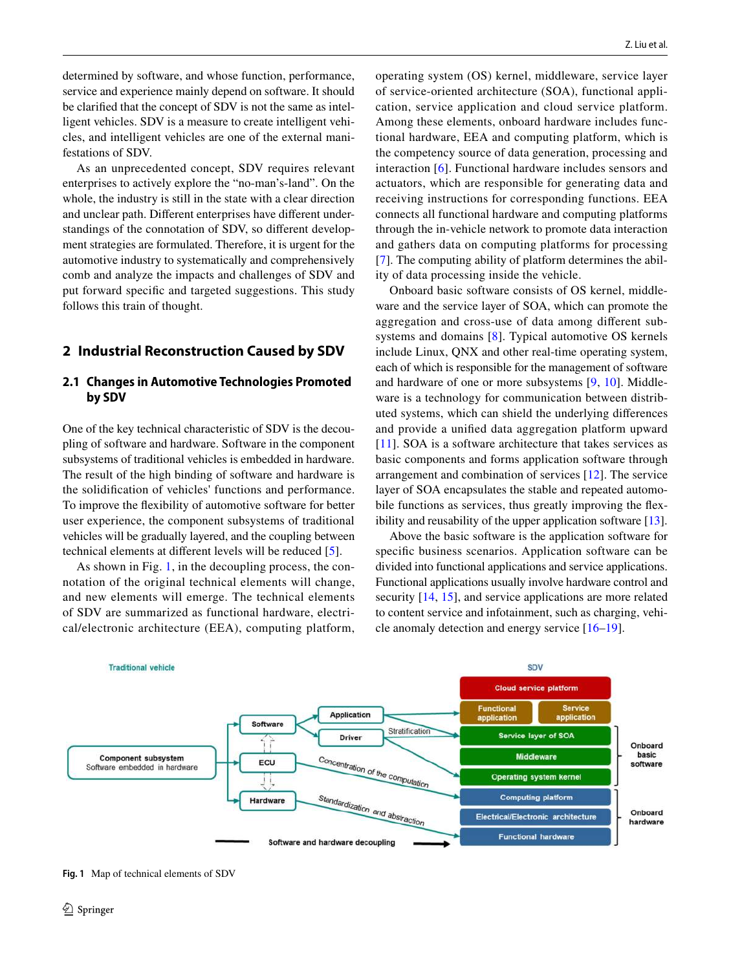determined by software, and whose function, performance, service and experience mainly depend on software. It should be clarifed that the concept of SDV is not the same as intelligent vehicles. SDV is a measure to create intelligent vehicles, and intelligent vehicles are one of the external manifestations of SDV.

As an unprecedented concept, SDV requires relevant enterprises to actively explore the "no-man's-land". On the whole, the industry is still in the state with a clear direction and unclear path. Diferent enterprises have diferent understandings of the connotation of SDV, so diferent development strategies are formulated. Therefore, it is urgent for the automotive industry to systematically and comprehensively comb and analyze the impacts and challenges of SDV and put forward specifc and targeted suggestions. This study follows this train of thought.

## **2 Industrial Reconstruction Caused by SDV**

#### **2.1 Changes in Automotive Technologies Promoted by SDV**

One of the key technical characteristic of SDV is the decoupling of software and hardware. Software in the component subsystems of traditional vehicles is embedded in hardware. The result of the high binding of software and hardware is the solidifcation of vehicles' functions and performance. To improve the fexibility of automotive software for better user experience, the component subsystems of traditional vehicles will be gradually layered, and the coupling between technical elements at diferent levels will be reduced [\[5](#page-12-4)].

As shown in Fig. [1,](#page-1-0) in the decoupling process, the connotation of the original technical elements will change, and new elements will emerge. The technical elements of SDV are summarized as functional hardware, electrical/electronic architecture (EEA), computing platform,

operating system (OS) kernel, middleware, service layer of service-oriented architecture (SOA), functional application, service application and cloud service platform. Among these elements, onboard hardware includes functional hardware, EEA and computing platform, which is the competency source of data generation, processing and interaction [[6](#page-12-5)]. Functional hardware includes sensors and actuators, which are responsible for generating data and receiving instructions for corresponding functions. EEA connects all functional hardware and computing platforms through the in-vehicle network to promote data interaction and gathers data on computing platforms for processing [[7\]](#page-12-6). The computing ability of platform determines the ability of data processing inside the vehicle.

Onboard basic software consists of OS kernel, middleware and the service layer of SOA, which can promote the aggregation and cross-use of data among diferent subsystems and domains [[8](#page-12-7)]. Typical automotive OS kernels include Linux, QNX and other real-time operating system, each of which is responsible for the management of software and hardware of one or more subsystems [[9,](#page-12-8) [10](#page-12-9)]. Middleware is a technology for communication between distributed systems, which can shield the underlying diferences and provide a unifed data aggregation platform upward [[11\]](#page-12-10). SOA is a software architecture that takes services as basic components and forms application software through arrangement and combination of services [[12\]](#page-12-11). The service layer of SOA encapsulates the stable and repeated automobile functions as services, thus greatly improving the fexibility and reusability of the upper application software [[13](#page-12-12)].

Above the basic software is the application software for specifc business scenarios. Application software can be divided into functional applications and service applications. Functional applications usually involve hardware control and security [\[14](#page-12-13), [15\]](#page-12-14), and service applications are more related to content service and infotainment, such as charging, vehicle anomaly detection and energy service [\[16](#page-12-15)[–19\]](#page-12-16).



<span id="page-1-0"></span>**Fig. 1** Map of technical elements of SDV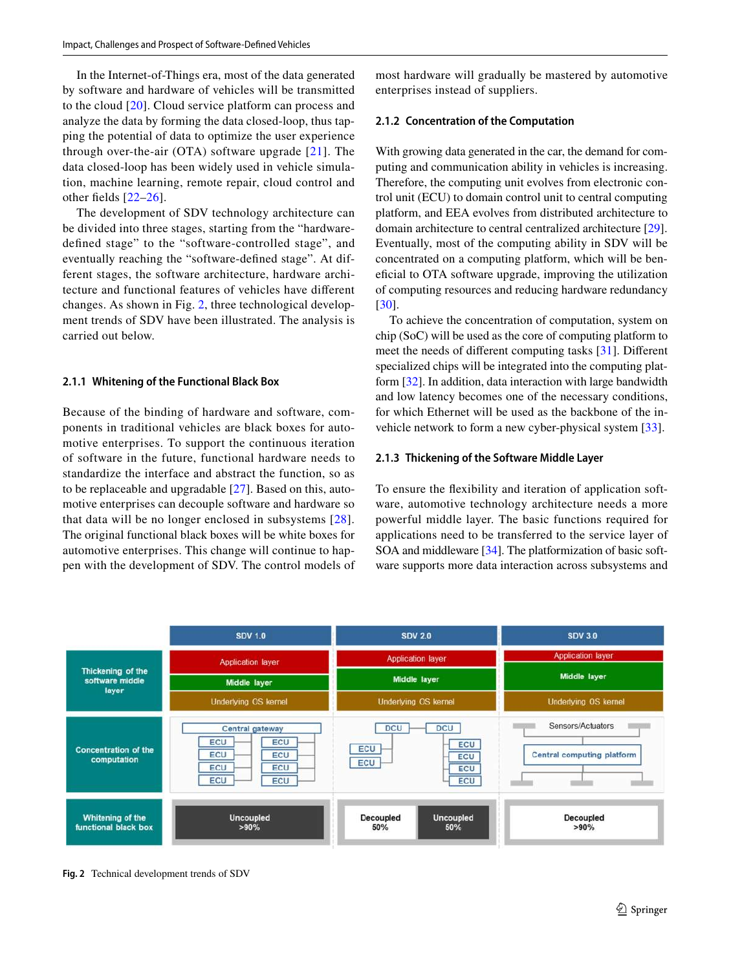In the Internet-of-Things era, most of the data generated by software and hardware of vehicles will be transmitted to the cloud [[20\]](#page-12-17). Cloud service platform can process and analyze the data by forming the data closed-loop, thus tapping the potential of data to optimize the user experience through over-the-air (OTA) software upgrade  $[21]$  $[21]$  $[21]$ . The data closed-loop has been widely used in vehicle simulation, machine learning, remote repair, cloud control and other felds [[22](#page-12-19)[–26\]](#page-13-0).

The development of SDV technology architecture can be divided into three stages, starting from the "hardwaredefned stage" to the "software-controlled stage", and eventually reaching the "software-defned stage". At different stages, the software architecture, hardware architecture and functional features of vehicles have diferent changes. As shown in Fig. [2,](#page-2-0) three technological development trends of SDV have been illustrated. The analysis is carried out below.

#### **2.1.1 Whitening of the Functional Black Box**

Because of the binding of hardware and software, components in traditional vehicles are black boxes for automotive enterprises. To support the continuous iteration of software in the future, functional hardware needs to standardize the interface and abstract the function, so as to be replaceable and upgradable [\[27](#page-13-1)]. Based on this, automotive enterprises can decouple software and hardware so that data will be no longer enclosed in subsystems [[28\]](#page-13-2). The original functional black boxes will be white boxes for automotive enterprises. This change will continue to happen with the development of SDV. The control models of most hardware will gradually be mastered by automotive enterprises instead of suppliers.

#### **2.1.2 Concentration of the Computation**

With growing data generated in the car, the demand for computing and communication ability in vehicles is increasing. Therefore, the computing unit evolves from electronic control unit (ECU) to domain control unit to central computing platform, and EEA evolves from distributed architecture to domain architecture to central centralized architecture [\[29](#page-13-3)]. Eventually, most of the computing ability in SDV will be concentrated on a computing platform, which will be benefcial to OTA software upgrade, improving the utilization of computing resources and reducing hardware redundancy [[30\]](#page-13-4).

To achieve the concentration of computation, system on chip (SoC) will be used as the core of computing platform to meet the needs of diferent computing tasks [\[31](#page-13-5)]. Diferent specialized chips will be integrated into the computing platform [[32\]](#page-13-6). In addition, data interaction with large bandwidth and low latency becomes one of the necessary conditions, for which Ethernet will be used as the backbone of the invehicle network to form a new cyber-physical system [[33](#page-13-7)].

#### **2.1.3 Thickening of the Software Middle Layer**

To ensure the fexibility and iteration of application software, automotive technology architecture needs a more powerful middle layer. The basic functions required for applications need to be transferred to the service layer of SOA and middleware [[34](#page-13-8)]. The platformization of basic software supports more data interaction across subsystems and



<span id="page-2-0"></span>**Fig. 2** Technical development trends of SDV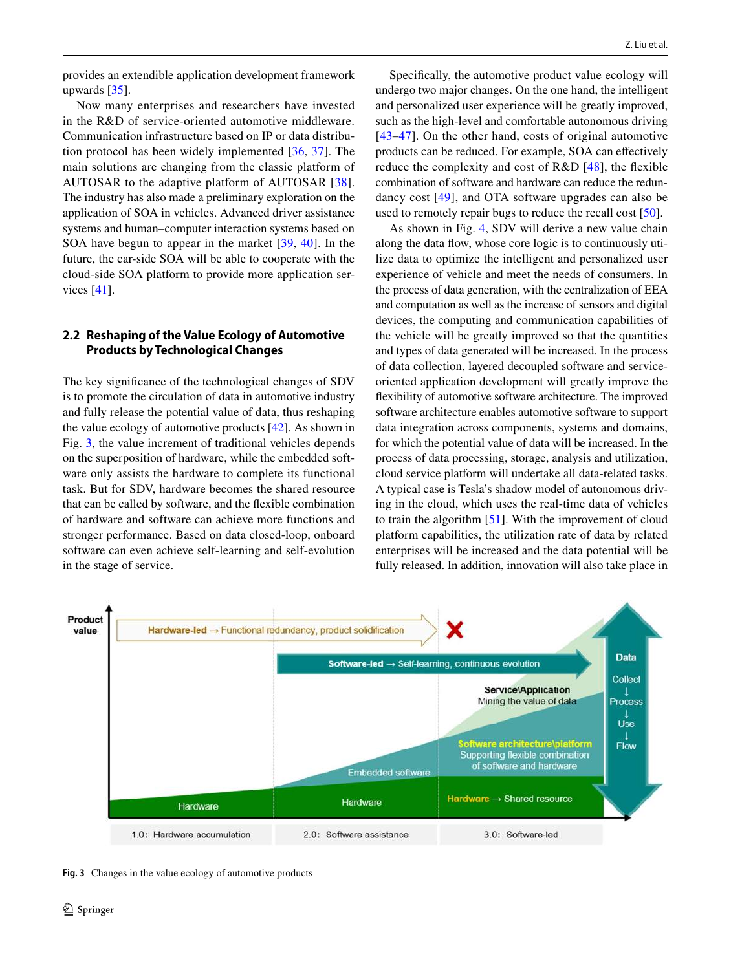provides an extendible application development framework upwards [[35\]](#page-13-9).

Now many enterprises and researchers have invested in the R&D of service-oriented automotive middleware. Communication infrastructure based on IP or data distribution protocol has been widely implemented [[36](#page-13-10), [37](#page-13-11)]. The main solutions are changing from the classic platform of AUTOSAR to the adaptive platform of AUTOSAR [[38](#page-13-12)]. The industry has also made a preliminary exploration on the application of SOA in vehicles. Advanced driver assistance systems and human–computer interaction systems based on SOA have begun to appear in the market [[39](#page-13-13), [40](#page-13-14)]. In the future, the car-side SOA will be able to cooperate with the cloud-side SOA platform to provide more application services [[41\]](#page-13-15).

## **2.2 Reshaping of the Value Ecology of Automotive Products by Technological Changes**

The key signifcance of the technological changes of SDV is to promote the circulation of data in automotive industry and fully release the potential value of data, thus reshaping the value ecology of automotive products [\[42\]](#page-13-16). As shown in Fig. [3](#page-3-0), the value increment of traditional vehicles depends on the superposition of hardware, while the embedded software only assists the hardware to complete its functional task. But for SDV, hardware becomes the shared resource that can be called by software, and the fexible combination of hardware and software can achieve more functions and stronger performance. Based on data closed-loop, onboard software can even achieve self-learning and self-evolution in the stage of service.

Specifcally, the automotive product value ecology will undergo two major changes. On the one hand, the intelligent and personalized user experience will be greatly improved, such as the high-level and comfortable autonomous driving [[43–](#page-13-17)[47](#page-13-18)]. On the other hand, costs of original automotive products can be reduced. For example, SOA can efectively reduce the complexity and cost of R&D [[48](#page-13-19)], the fexible combination of software and hardware can reduce the redundancy cost [\[49](#page-13-20)], and OTA software upgrades can also be used to remotely repair bugs to reduce the recall cost [\[50\]](#page-13-21).

As shown in Fig. [4,](#page-4-0) SDV will derive a new value chain along the data fow, whose core logic is to continuously utilize data to optimize the intelligent and personalized user experience of vehicle and meet the needs of consumers. In the process of data generation, with the centralization of EEA and computation as well as the increase of sensors and digital devices, the computing and communication capabilities of the vehicle will be greatly improved so that the quantities and types of data generated will be increased. In the process of data collection, layered decoupled software and serviceoriented application development will greatly improve the fexibility of automotive software architecture. The improved software architecture enables automotive software to support data integration across components, systems and domains, for which the potential value of data will be increased. In the process of data processing, storage, analysis and utilization, cloud service platform will undertake all data-related tasks. A typical case is Tesla's shadow model of autonomous driving in the cloud, which uses the real-time data of vehicles to train the algorithm [\[51](#page-13-22)]. With the improvement of cloud platform capabilities, the utilization rate of data by related enterprises will be increased and the data potential will be fully released. In addition, innovation will also take place in



<span id="page-3-0"></span>**Fig. 3** Changes in the value ecology of automotive products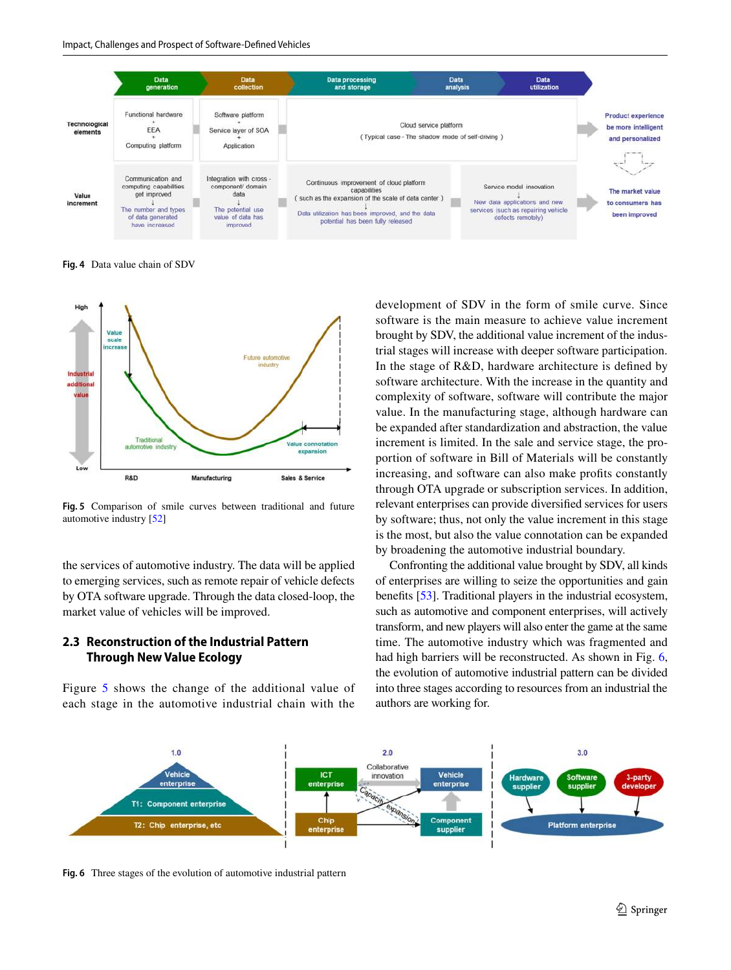

<span id="page-4-0"></span>**Fig. 4** Data value chain of SDV



<span id="page-4-1"></span>**Fig. 5** Comparison of smile curves between traditional and future automotive industry [\[52\]](#page-13-24)

the services of automotive industry. The data will be applied to emerging services, such as remote repair of vehicle defects by OTA software upgrade. Through the data closed-loop, the market value of vehicles will be improved.

## **2.3 Reconstruction of the Industrial Pattern Through New Value Ecology**

Figure [5](#page-4-1) shows the change of the additional value of each stage in the automotive industrial chain with the development of SDV in the form of smile curve. Since software is the main measure to achieve value increment brought by SDV, the additional value increment of the industrial stages will increase with deeper software participation. In the stage of R&D, hardware architecture is defned by software architecture. With the increase in the quantity and complexity of software, software will contribute the major value. In the manufacturing stage, although hardware can be expanded after standardization and abstraction, the value increment is limited. In the sale and service stage, the proportion of software in Bill of Materials will be constantly increasing, and software can also make profts constantly through OTA upgrade or subscription services. In addition, relevant enterprises can provide diversifed services for users by software; thus, not only the value increment in this stage is the most, but also the value connotation can be expanded by broadening the automotive industrial boundary.

Confronting the additional value brought by SDV, all kinds of enterprises are willing to seize the opportunities and gain benefts [\[53](#page-13-23)]. Traditional players in the industrial ecosystem, such as automotive and component enterprises, will actively transform, and new players will also enter the game at the same time. The automotive industry which was fragmented and had high barriers will be reconstructed. As shown in Fig. [6,](#page-4-2) the evolution of automotive industrial pattern can be divided into three stages according to resources from an industrial the authors are working for.



<span id="page-4-2"></span>**Fig. 6** Three stages of the evolution of automotive industrial pattern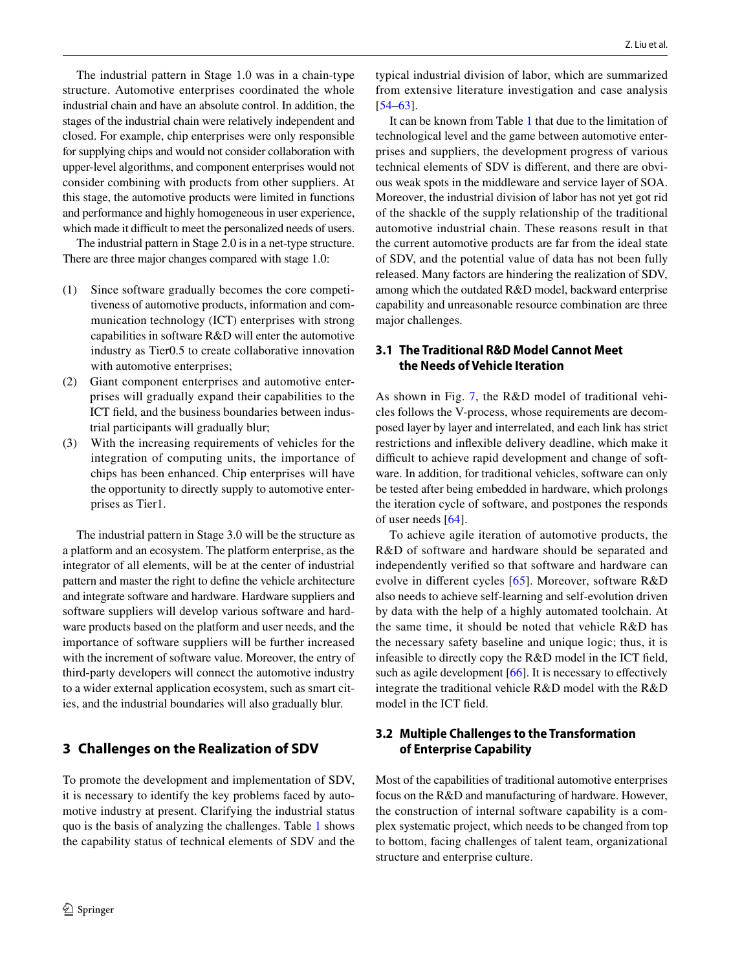The industrial pattern in Stage 1.0 was in a chain-type structure. Automotive enterprises coordinated the whole industrial chain and have an absolute control. In addition, the stages of the industrial chain were relatively independent and closed. For example, chip enterprises were only responsible for supplying chips and would not consider collaboration with upper-level algorithms, and component enterprises would not consider combining with products from other suppliers. At this stage, the automotive products were limited in functions and performance and highly homogeneous in user experience, which made it difficult to meet the personalized needs of users.

The industrial pattern in Stage 2.0 is in a net-type structure. There are three major changes compared with stage 1.0:

- (1) Since software gradually becomes the core competitiveness of automotive products, information and communication technology (ICT) enterprises with strong capabilities in software R&D will enter the automotive industry as Tier0.5 to create collaborative innovation with automotive enterprises;
- (2) Giant component enterprises and automotive enterprises will gradually expand their capabilities to the ICT feld, and the business boundaries between industrial participants will gradually blur;
- (3) With the increasing requirements of vehicles for the integration of computing units, the importance of chips has been enhanced. Chip enterprises will have the opportunity to directly supply to automotive enterprises as Tier1.

The industrial pattern in Stage 3.0 will be the structure as a platform and an ecosystem. The platform enterprise, as the integrator of all elements, will be at the center of industrial pattern and master the right to defne the vehicle architecture and integrate software and hardware. Hardware suppliers and software suppliers will develop various software and hardware products based on the platform and user needs, and the importance of software suppliers will be further increased with the increment of software value. Moreover, the entry of third-party developers will connect the automotive industry to a wider external application ecosystem, such as smart cities, and the industrial boundaries will also gradually blur.

## **3 Challenges on the Realization of SDV**

To promote the development and implementation of SDV, it is necessary to identify the key problems faced by automotive industry at present. Clarifying the industrial status quo is the basis of analyzing the challenges. Table [1](#page-6-0) shows the capability status of technical elements of SDV and the typical industrial division of labor, which are summarized from extensive literature investigation and case analysis [[54–](#page-13-25)[63\]](#page-14-0).

It can be known from Table [1](#page-6-0) that due to the limitation of technological level and the game between automotive enterprises and suppliers, the development progress of various technical elements of SDV is diferent, and there are obvious weak spots in the middleware and service layer of SOA. Moreover, the industrial division of labor has not yet got rid of the shackle of the supply relationship of the traditional automotive industrial chain. These reasons result in that the current automotive products are far from the ideal state of SDV, and the potential value of data has not been fully released. Many factors are hindering the realization of SDV, among which the outdated R&D model, backward enterprise capability and unreasonable resource combination are three major challenges.

## **3.1 The Traditional R&D Model Cannot Meet the Needs of Vehicle Iteration**

As shown in Fig. [7,](#page-6-1) the R&D model of traditional vehicles follows the V-process, whose requirements are decomposed layer by layer and interrelated, and each link has strict restrictions and infexible delivery deadline, which make it difficult to achieve rapid development and change of software. In addition, for traditional vehicles, software can only be tested after being embedded in hardware, which prolongs the iteration cycle of software, and postpones the responds of user needs [\[64](#page-14-1)].

To achieve agile iteration of automotive products, the R&D of software and hardware should be separated and independently verifed so that software and hardware can evolve in diferent cycles [[65](#page-14-2)]. Moreover, software R&D also needs to achieve self-learning and self-evolution driven by data with the help of a highly automated toolchain. At the same time, it should be noted that vehicle R&D has the necessary safety baseline and unique logic; thus, it is infeasible to directly copy the R&D model in the ICT feld, such as agile development [[66\]](#page-14-3). It is necessary to effectively integrate the traditional vehicle R&D model with the R&D model in the ICT feld.

## **3.2 Multiple Challenges to the Transformation of Enterprise Capability**

Most of the capabilities of traditional automotive enterprises focus on the R&D and manufacturing of hardware. However, the construction of internal software capability is a complex systematic project, which needs to be changed from top to bottom, facing challenges of talent team, organizational structure and enterprise culture.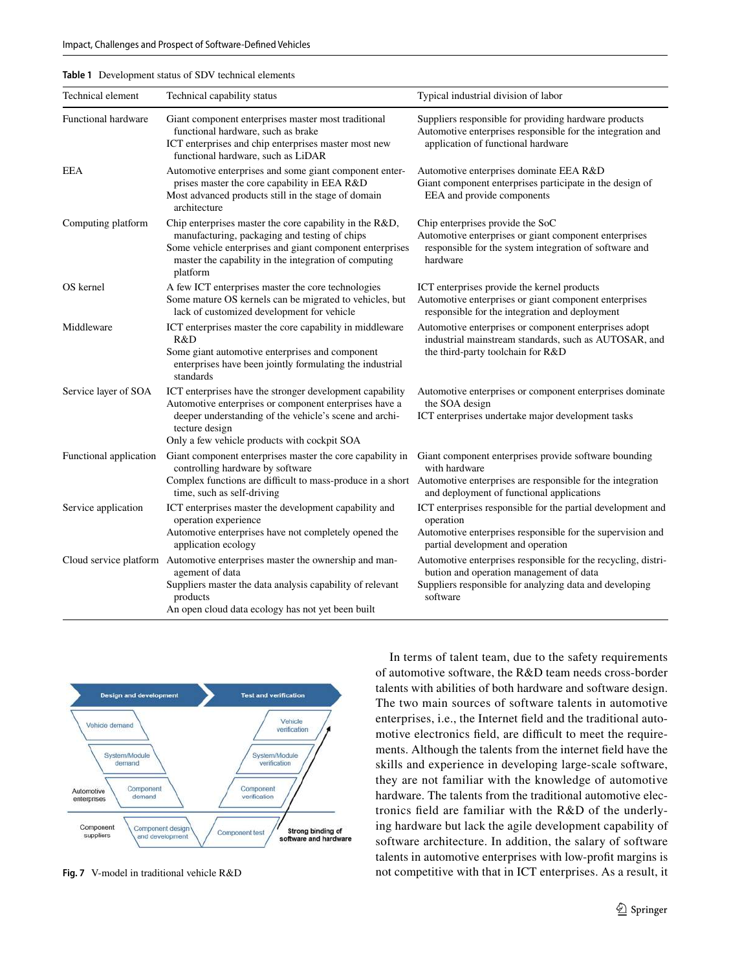<span id="page-6-0"></span>

| Table 1 Development status of SDV technical elements |
|------------------------------------------------------|
|                                                      |

| Technical element      | Technical capability status                                                                                                                                                                                                                          | Typical industrial division of labor                                                                                                                                            |
|------------------------|------------------------------------------------------------------------------------------------------------------------------------------------------------------------------------------------------------------------------------------------------|---------------------------------------------------------------------------------------------------------------------------------------------------------------------------------|
| Functional hardware    | Giant component enterprises master most traditional<br>functional hardware, such as brake<br>ICT enterprises and chip enterprises master most new<br>functional hardware, such as LiDAR                                                              | Suppliers responsible for providing hardware products<br>Automotive enterprises responsible for the integration and<br>application of functional hardware                       |
| EEA                    | Automotive enterprises and some giant component enter-<br>prises master the core capability in EEA R&D<br>Most advanced products still in the stage of domain<br>architecture                                                                        | Automotive enterprises dominate EEA R&D<br>Giant component enterprises participate in the design of<br>EEA and provide components                                               |
| Computing platform     | Chip enterprises master the core capability in the R&D,<br>manufacturing, packaging and testing of chips<br>Some vehicle enterprises and giant component enterprises<br>master the capability in the integration of computing<br>platform            | Chip enterprises provide the SoC<br>Automotive enterprises or giant component enterprises<br>responsible for the system integration of software and<br>hardware                 |
| OS kernel              | A few ICT enterprises master the core technologies<br>Some mature OS kernels can be migrated to vehicles, but<br>lack of customized development for vehicle                                                                                          | ICT enterprises provide the kernel products<br>Automotive enterprises or giant component enterprises<br>responsible for the integration and deployment                          |
| Middleware             | ICT enterprises master the core capability in middleware<br>R&D<br>Some giant automotive enterprises and component<br>enterprises have been jointly formulating the industrial<br>standards                                                          | Automotive enterprises or component enterprises adopt<br>industrial mainstream standards, such as AUTOSAR, and<br>the third-party toolchain for R&D                             |
| Service layer of SOA   | ICT enterprises have the stronger development capability<br>Automotive enterprises or component enterprises have a<br>deeper understanding of the vehicle's scene and archi-<br>tecture design<br>Only a few vehicle products with cockpit SOA       | Automotive enterprises or component enterprises dominate<br>the SOA design<br>ICT enterprises undertake major development tasks                                                 |
| Functional application | Giant component enterprises master the core capability in<br>controlling hardware by software<br>Complex functions are difficult to mass-produce in a short Automotive enterprises are responsible for the integration<br>time, such as self-driving | Giant component enterprises provide software bounding<br>with hardware<br>and deployment of functional applications                                                             |
| Service application    | ICT enterprises master the development capability and<br>operation experience<br>Automotive enterprises have not completely opened the<br>application ecology                                                                                        | ICT enterprises responsible for the partial development and<br>operation<br>Automotive enterprises responsible for the supervision and<br>partial development and operation     |
|                        | Cloud service platform Automotive enterprises master the ownership and man-<br>agement of data<br>Suppliers master the data analysis capability of relevant<br>products<br>An open cloud data ecology has not yet been built                         | Automotive enterprises responsible for the recycling, distri-<br>bution and operation management of data<br>Suppliers responsible for analyzing data and developing<br>software |



<span id="page-6-1"></span>**Fig. 7** V-model in traditional vehicle R&D

In terms of talent team, due to the safety requirements of automotive software, the R&D team needs cross-border talents with abilities of both hardware and software design. The two main sources of software talents in automotive enterprises, i.e., the Internet feld and the traditional automotive electronics field, are difficult to meet the requirements. Although the talents from the internet feld have the skills and experience in developing large-scale software, they are not familiar with the knowledge of automotive hardware. The talents from the traditional automotive electronics feld are familiar with the R&D of the underlying hardware but lack the agile development capability of software architecture. In addition, the salary of software talents in automotive enterprises with low-proft margins is not competitive with that in ICT enterprises. As a result, it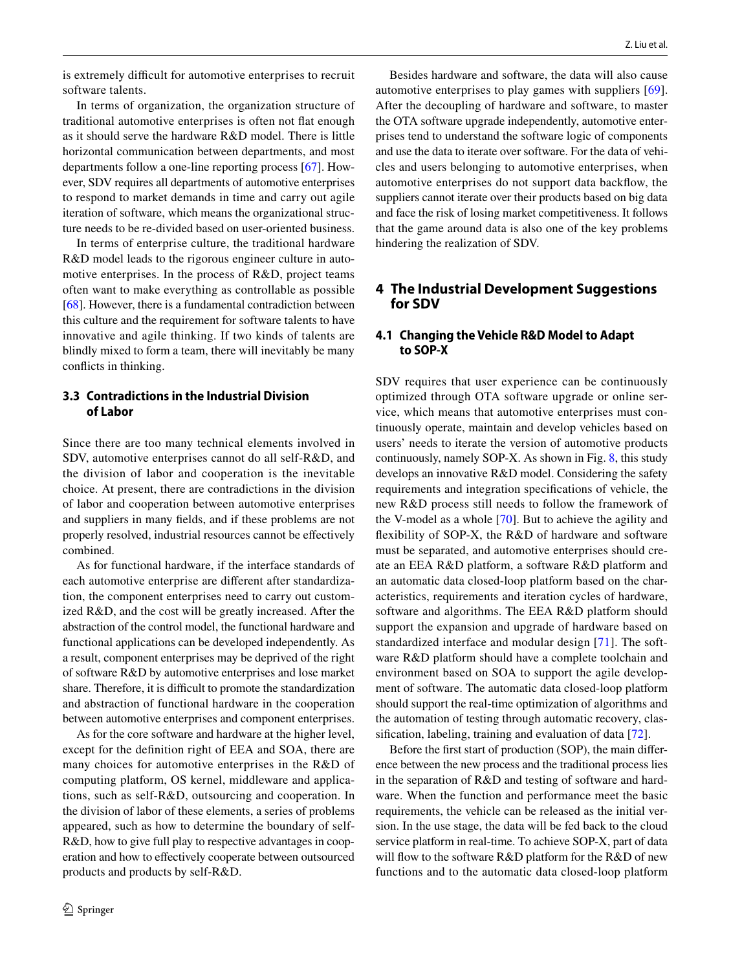is extremely difficult for automotive enterprises to recruit software talents.

In terms of organization, the organization structure of traditional automotive enterprises is often not fat enough as it should serve the hardware R&D model. There is little horizontal communication between departments, and most departments follow a one-line reporting process [\[67\]](#page-14-4). However, SDV requires all departments of automotive enterprises to respond to market demands in time and carry out agile iteration of software, which means the organizational structure needs to be re-divided based on user-oriented business.

In terms of enterprise culture, the traditional hardware R&D model leads to the rigorous engineer culture in automotive enterprises. In the process of R&D, project teams often want to make everything as controllable as possible [\[68](#page-14-5)]. However, there is a fundamental contradiction between this culture and the requirement for software talents to have innovative and agile thinking. If two kinds of talents are blindly mixed to form a team, there will inevitably be many conficts in thinking.

## **3.3 Contradictions in the Industrial Division of Labor**

Since there are too many technical elements involved in SDV, automotive enterprises cannot do all self-R&D, and the division of labor and cooperation is the inevitable choice. At present, there are contradictions in the division of labor and cooperation between automotive enterprises and suppliers in many felds, and if these problems are not properly resolved, industrial resources cannot be efectively combined.

As for functional hardware, if the interface standards of each automotive enterprise are diferent after standardization, the component enterprises need to carry out customized R&D, and the cost will be greatly increased. After the abstraction of the control model, the functional hardware and functional applications can be developed independently. As a result, component enterprises may be deprived of the right of software R&D by automotive enterprises and lose market share. Therefore, it is difficult to promote the standardization and abstraction of functional hardware in the cooperation between automotive enterprises and component enterprises.

As for the core software and hardware at the higher level, except for the defnition right of EEA and SOA, there are many choices for automotive enterprises in the R&D of computing platform, OS kernel, middleware and applications, such as self-R&D, outsourcing and cooperation. In the division of labor of these elements, a series of problems appeared, such as how to determine the boundary of self-R&D, how to give full play to respective advantages in cooperation and how to efectively cooperate between outsourced products and products by self-R&D.

Besides hardware and software, the data will also cause automotive enterprises to play games with suppliers [\[69](#page-14-6)]. After the decoupling of hardware and software, to master the OTA software upgrade independently, automotive enterprises tend to understand the software logic of components and use the data to iterate over software. For the data of vehicles and users belonging to automotive enterprises, when automotive enterprises do not support data backfow, the suppliers cannot iterate over their products based on big data and face the risk of losing market competitiveness. It follows that the game around data is also one of the key problems hindering the realization of SDV.

## **4 The Industrial Development Suggestions for SDV**

## **4.1 Changing the Vehicle R&D Model to Adapt to SOP‑X**

SDV requires that user experience can be continuously optimized through OTA software upgrade or online service, which means that automotive enterprises must continuously operate, maintain and develop vehicles based on users' needs to iterate the version of automotive products continuously, namely SOP-X. As shown in Fig. [8](#page-8-0), this study develops an innovative R&D model. Considering the safety requirements and integration specifcations of vehicle, the new R&D process still needs to follow the framework of the V-model as a whole [\[70\]](#page-14-7). But to achieve the agility and fexibility of SOP-X, the R&D of hardware and software must be separated, and automotive enterprises should create an EEA R&D platform, a software R&D platform and an automatic data closed-loop platform based on the characteristics, requirements and iteration cycles of hardware, software and algorithms. The EEA R&D platform should support the expansion and upgrade of hardware based on standardized interface and modular design [\[71\]](#page-14-8). The software R&D platform should have a complete toolchain and environment based on SOA to support the agile development of software. The automatic data closed-loop platform should support the real-time optimization of algorithms and the automation of testing through automatic recovery, classifcation, labeling, training and evaluation of data [[72\]](#page-14-9).

Before the frst start of production (SOP), the main diference between the new process and the traditional process lies in the separation of R&D and testing of software and hardware. When the function and performance meet the basic requirements, the vehicle can be released as the initial version. In the use stage, the data will be fed back to the cloud service platform in real-time. To achieve SOP-X, part of data will flow to the software  $R&D$  platform for the  $R&D$  of new functions and to the automatic data closed-loop platform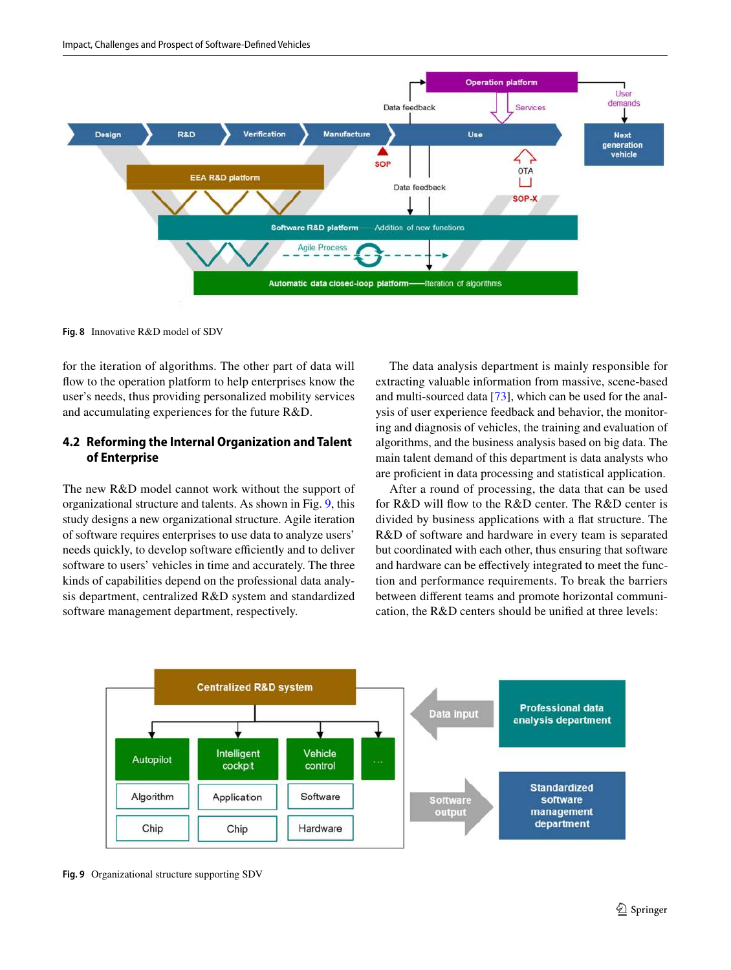

<span id="page-8-0"></span>**Fig. 8** Innovative R&D model of SDV

for the iteration of algorithms. The other part of data will flow to the operation platform to help enterprises know the user's needs, thus providing personalized mobility services and accumulating experiences for the future R&D.

## **4.2 Reforming the Internal Organization and Talent of Enterprise**

The new R&D model cannot work without the support of organizational structure and talents. As shown in Fig. [9,](#page-8-1) this study designs a new organizational structure. Agile iteration of software requires enterprises to use data to analyze users' needs quickly, to develop software efficiently and to deliver software to users' vehicles in time and accurately. The three kinds of capabilities depend on the professional data analysis department, centralized R&D system and standardized software management department, respectively.

The data analysis department is mainly responsible for extracting valuable information from massive, scene-based and multi-sourced data [[73\]](#page-14-10), which can be used for the analysis of user experience feedback and behavior, the monitoring and diagnosis of vehicles, the training and evaluation of algorithms, and the business analysis based on big data. The main talent demand of this department is data analysts who are profcient in data processing and statistical application.

After a round of processing, the data that can be used for R&D will fow to the R&D center. The R&D center is divided by business applications with a fat structure. The R&D of software and hardware in every team is separated but coordinated with each other, thus ensuring that software and hardware can be efectively integrated to meet the function and performance requirements. To break the barriers between diferent teams and promote horizontal communication, the R&D centers should be unifed at three levels:



<span id="page-8-1"></span>**Fig. 9** Organizational structure supporting SDV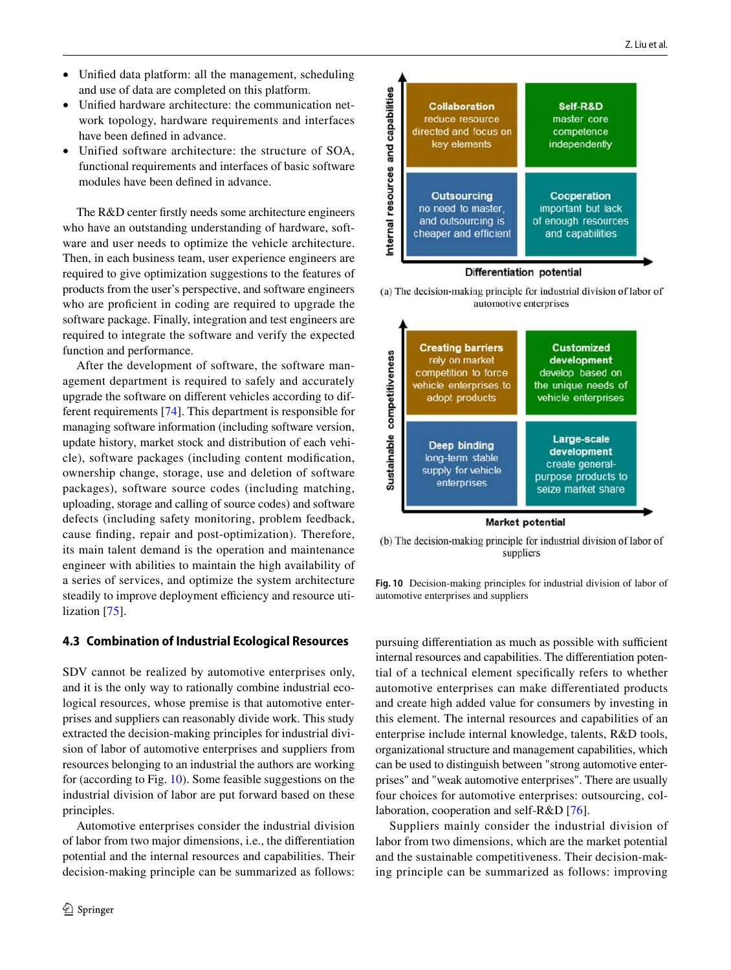- Unifed data platform: all the management, scheduling and use of data are completed on this platform.
- Unifed hardware architecture: the communication network topology, hardware requirements and interfaces have been defned in advance.
- Unified software architecture: the structure of SOA, functional requirements and interfaces of basic software modules have been defned in advance.

The R&D center frstly needs some architecture engineers who have an outstanding understanding of hardware, software and user needs to optimize the vehicle architecture. Then, in each business team, user experience engineers are required to give optimization suggestions to the features of products from the user's perspective, and software engineers who are proficient in coding are required to upgrade the software package. Finally, integration and test engineers are required to integrate the software and verify the expected function and performance.

After the development of software, the software management department is required to safely and accurately upgrade the software on diferent vehicles according to different requirements [\[74\]](#page-14-11). This department is responsible for managing software information (including software version, update history, market stock and distribution of each vehicle), software packages (including content modifcation, ownership change, storage, use and deletion of software packages), software source codes (including matching, uploading, storage and calling of source codes) and software defects (including safety monitoring, problem feedback, cause fnding, repair and post-optimization). Therefore, its main talent demand is the operation and maintenance engineer with abilities to maintain the high availability of a series of services, and optimize the system architecture steadily to improve deployment efficiency and resource utilization [\[75](#page-14-12)].

## **4.3 Combination of Industrial Ecological Resources**

SDV cannot be realized by automotive enterprises only, and it is the only way to rationally combine industrial ecological resources, whose premise is that automotive enterprises and suppliers can reasonably divide work. This study extracted the decision-making principles for industrial division of labor of automotive enterprises and suppliers from resources belonging to an industrial the authors are working for (according to Fig. [10\)](#page-9-0). Some feasible suggestions on the industrial division of labor are put forward based on these principles.

Automotive enterprises consider the industrial division of labor from two major dimensions, i.e., the diferentiation potential and the internal resources and capabilities. Their decision-making principle can be summarized as follows:



(a) The decision-making principle for industrial division of labor of automotive enterprises



(b) The decision-making principle for industrial division of labor of suppliers

<span id="page-9-0"></span>**Fig. 10** Decision-making principles for industrial division of labor of automotive enterprises and suppliers

pursuing differentiation as much as possible with sufficient internal resources and capabilities. The diferentiation potential of a technical element specifcally refers to whether automotive enterprises can make diferentiated products and create high added value for consumers by investing in this element. The internal resources and capabilities of an enterprise include internal knowledge, talents, R&D tools, organizational structure and management capabilities, which can be used to distinguish between "strong automotive enterprises" and "weak automotive enterprises". There are usually four choices for automotive enterprises: outsourcing, collaboration, cooperation and self-R&D [[76](#page-14-13)].

Suppliers mainly consider the industrial division of labor from two dimensions, which are the market potential and the sustainable competitiveness. Their decision-making principle can be summarized as follows: improving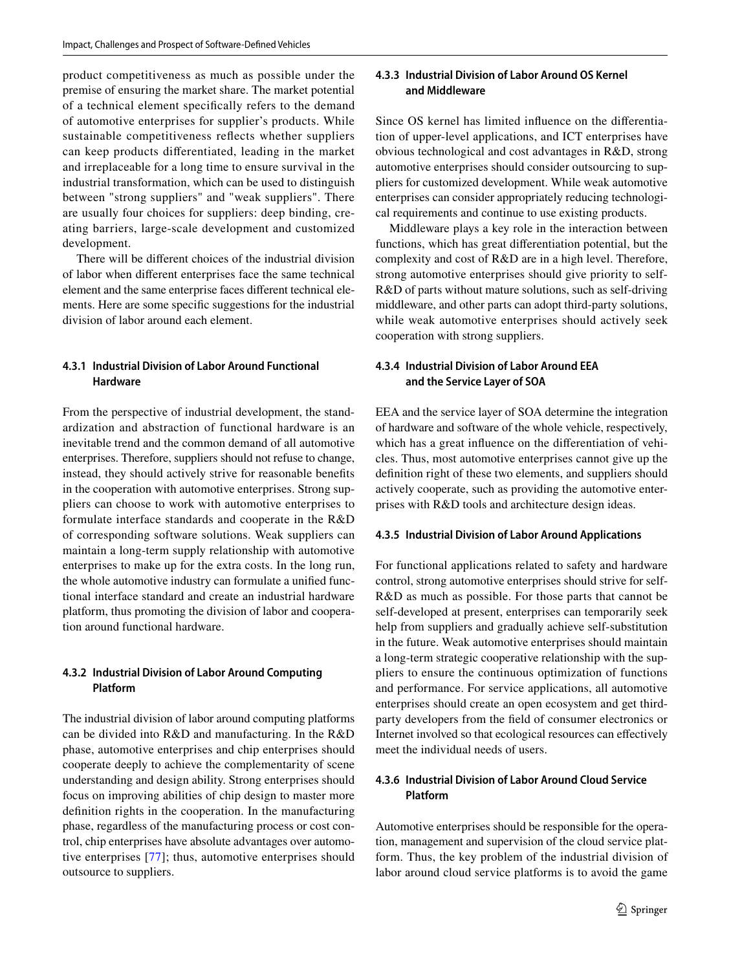product competitiveness as much as possible under the premise of ensuring the market share. The market potential of a technical element specifcally refers to the demand of automotive enterprises for supplier's products. While sustainable competitiveness refects whether suppliers can keep products diferentiated, leading in the market and irreplaceable for a long time to ensure survival in the industrial transformation, which can be used to distinguish between "strong suppliers" and "weak suppliers". There are usually four choices for suppliers: deep binding, creating barriers, large-scale development and customized development.

There will be diferent choices of the industrial division of labor when diferent enterprises face the same technical element and the same enterprise faces diferent technical elements. Here are some specifc suggestions for the industrial division of labor around each element.

## **4.3.1 Industrial Division of Labor Around Functional Hardware**

From the perspective of industrial development, the standardization and abstraction of functional hardware is an inevitable trend and the common demand of all automotive enterprises. Therefore, suppliers should not refuse to change, instead, they should actively strive for reasonable benefts in the cooperation with automotive enterprises. Strong suppliers can choose to work with automotive enterprises to formulate interface standards and cooperate in the R&D of corresponding software solutions. Weak suppliers can maintain a long-term supply relationship with automotive enterprises to make up for the extra costs. In the long run, the whole automotive industry can formulate a unifed functional interface standard and create an industrial hardware platform, thus promoting the division of labor and cooperation around functional hardware.

## **4.3.2 Industrial Division of Labor Around Computing Platform**

The industrial division of labor around computing platforms can be divided into R&D and manufacturing. In the R&D phase, automotive enterprises and chip enterprises should cooperate deeply to achieve the complementarity of scene understanding and design ability. Strong enterprises should focus on improving abilities of chip design to master more defnition rights in the cooperation. In the manufacturing phase, regardless of the manufacturing process or cost control, chip enterprises have absolute advantages over automotive enterprises [\[77\]](#page-14-14); thus, automotive enterprises should outsource to suppliers.

#### **4.3.3 Industrial Division of Labor Around OS Kernel and Middleware**

Since OS kernel has limited infuence on the diferentiation of upper-level applications, and ICT enterprises have obvious technological and cost advantages in R&D, strong automotive enterprises should consider outsourcing to suppliers for customized development. While weak automotive enterprises can consider appropriately reducing technological requirements and continue to use existing products.

Middleware plays a key role in the interaction between functions, which has great diferentiation potential, but the complexity and cost of R&D are in a high level. Therefore, strong automotive enterprises should give priority to self-R&D of parts without mature solutions, such as self-driving middleware, and other parts can adopt third-party solutions, while weak automotive enterprises should actively seek cooperation with strong suppliers.

## **4.3.4 Industrial Division of Labor Around EEA and the Service Layer of SOA**

EEA and the service layer of SOA determine the integration of hardware and software of the whole vehicle, respectively, which has a great infuence on the diferentiation of vehicles. Thus, most automotive enterprises cannot give up the defnition right of these two elements, and suppliers should actively cooperate, such as providing the automotive enterprises with R&D tools and architecture design ideas.

#### **4.3.5 Industrial Division of Labor Around Applications**

For functional applications related to safety and hardware control, strong automotive enterprises should strive for self-R&D as much as possible. For those parts that cannot be self-developed at present, enterprises can temporarily seek help from suppliers and gradually achieve self-substitution in the future. Weak automotive enterprises should maintain a long-term strategic cooperative relationship with the suppliers to ensure the continuous optimization of functions and performance. For service applications, all automotive enterprises should create an open ecosystem and get thirdparty developers from the feld of consumer electronics or Internet involved so that ecological resources can efectively meet the individual needs of users.

## **4.3.6 Industrial Division of Labor Around Cloud Service Platform**

Automotive enterprises should be responsible for the operation, management and supervision of the cloud service platform. Thus, the key problem of the industrial division of labor around cloud service platforms is to avoid the game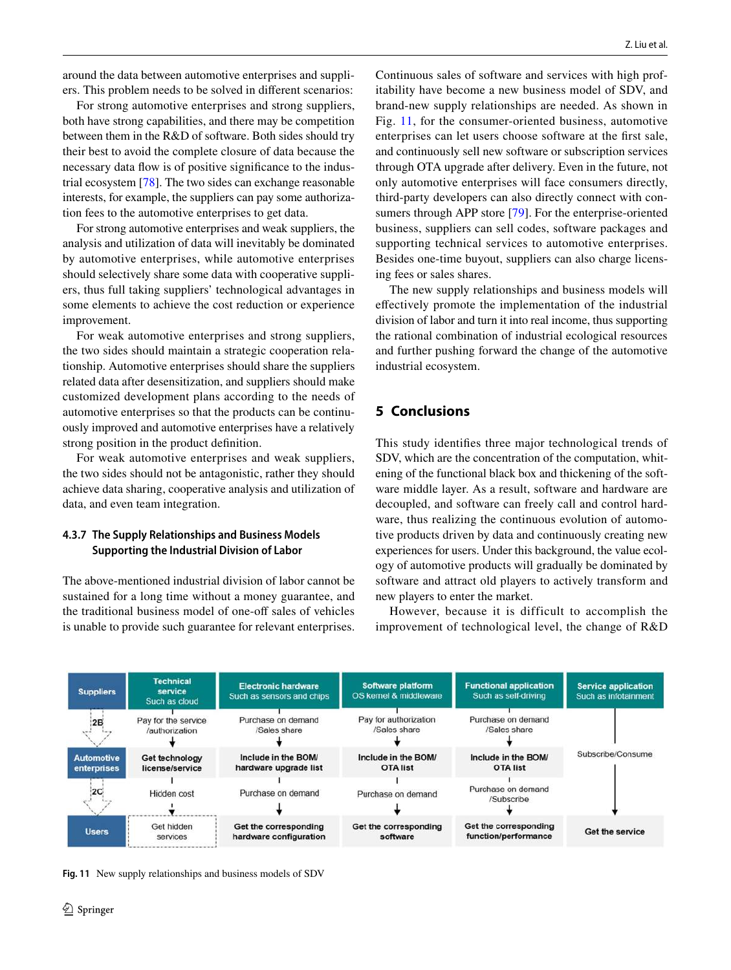around the data between automotive enterprises and suppliers. This problem needs to be solved in diferent scenarios:

For strong automotive enterprises and strong suppliers, both have strong capabilities, and there may be competition between them in the R&D of software. Both sides should try their best to avoid the complete closure of data because the necessary data fow is of positive signifcance to the industrial ecosystem [\[78](#page-14-15)]. The two sides can exchange reasonable interests, for example, the suppliers can pay some authorization fees to the automotive enterprises to get data.

For strong automotive enterprises and weak suppliers, the analysis and utilization of data will inevitably be dominated by automotive enterprises, while automotive enterprises should selectively share some data with cooperative suppliers, thus full taking suppliers' technological advantages in some elements to achieve the cost reduction or experience improvement.

For weak automotive enterprises and strong suppliers, the two sides should maintain a strategic cooperation relationship. Automotive enterprises should share the suppliers related data after desensitization, and suppliers should make customized development plans according to the needs of automotive enterprises so that the products can be continuously improved and automotive enterprises have a relatively strong position in the product defnition.

For weak automotive enterprises and weak suppliers, the two sides should not be antagonistic, rather they should achieve data sharing, cooperative analysis and utilization of data, and even team integration.

## **4.3.7 The Supply Relationships and Business Models Supporting the Industrial Division of Labor**

The above-mentioned industrial division of labor cannot be sustained for a long time without a money guarantee, and the traditional business model of one-off sales of vehicles is unable to provide such guarantee for relevant enterprises. Continuous sales of software and services with high profitability have become a new business model of SDV, and brand-new supply relationships are needed. As shown in Fig. [11,](#page-11-0) for the consumer-oriented business, automotive enterprises can let users choose software at the frst sale, and continuously sell new software or subscription services through OTA upgrade after delivery. Even in the future, not only automotive enterprises will face consumers directly, third-party developers can also directly connect with consumers through APP store [\[79\]](#page-14-16). For the enterprise-oriented business, suppliers can sell codes, software packages and supporting technical services to automotive enterprises. Besides one-time buyout, suppliers can also charge licensing fees or sales shares.

The new supply relationships and business models will efectively promote the implementation of the industrial division of labor and turn it into real income, thus supporting the rational combination of industrial ecological resources and further pushing forward the change of the automotive industrial ecosystem.

## **5 Conclusions**

This study identifes three major technological trends of SDV, which are the concentration of the computation, whitening of the functional black box and thickening of the software middle layer. As a result, software and hardware are decoupled, and software can freely call and control hardware, thus realizing the continuous evolution of automotive products driven by data and continuously creating new experiences for users. Under this background, the value ecology of automotive products will gradually be dominated by software and attract old players to actively transform and new players to enter the market.

However, because it is difficult to accomplish the improvement of technological level, the change of R&D



<span id="page-11-0"></span>**Fig. 11** New supply relationships and business models of SDV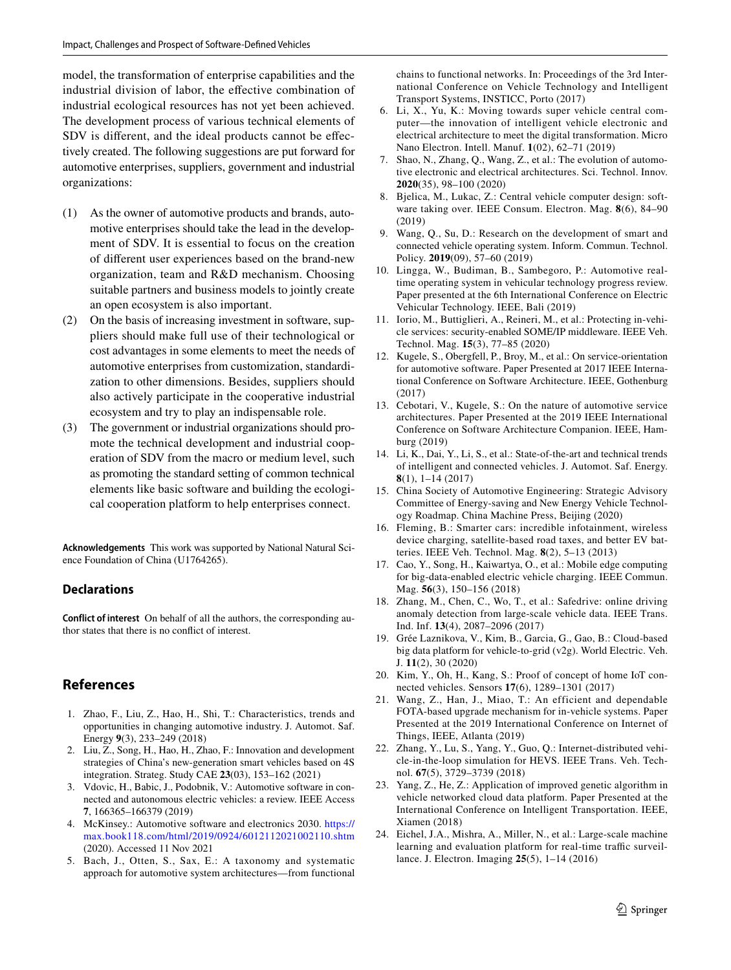model, the transformation of enterprise capabilities and the industrial division of labor, the efective combination of industrial ecological resources has not yet been achieved. The development process of various technical elements of SDV is diferent, and the ideal products cannot be efectively created. The following suggestions are put forward for automotive enterprises, suppliers, government and industrial organizations:

- (1) As the owner of automotive products and brands, automotive enterprises should take the lead in the development of SDV. It is essential to focus on the creation of diferent user experiences based on the brand-new organization, team and R&D mechanism. Choosing suitable partners and business models to jointly create an open ecosystem is also important.
- (2) On the basis of increasing investment in software, suppliers should make full use of their technological or cost advantages in some elements to meet the needs of automotive enterprises from customization, standardization to other dimensions. Besides, suppliers should also actively participate in the cooperative industrial ecosystem and try to play an indispensable role.
- (3) The government or industrial organizations should promote the technical development and industrial cooperation of SDV from the macro or medium level, such as promoting the standard setting of common technical elements like basic software and building the ecological cooperation platform to help enterprises connect.

**Acknowledgements** This work was supported by National Natural Science Foundation of China (U1764265).

## **Declarations**

**Conflict of interest** On behalf of all the authors, the corresponding author states that there is no confict of interest.

## **References**

- <span id="page-12-0"></span>1. Zhao, F., Liu, Z., Hao, H., Shi, T.: Characteristics, trends and opportunities in changing automotive industry. J. Automot. Saf. Energy **9**(3), 233–249 (2018)
- <span id="page-12-1"></span>2. Liu, Z., Song, H., Hao, H., Zhao, F.: Innovation and development strategies of China's new-generation smart vehicles based on 4S integration. Strateg. Study CAE **23**(03), 153–162 (2021)
- <span id="page-12-2"></span>3. Vdovic, H., Babic, J., Podobnik, V.: Automotive software in connected and autonomous electric vehicles: a review. IEEE Access **7**, 166365–166379 (2019)
- <span id="page-12-3"></span>4. McKinsey.: Automotive software and electronics 2030. [https://](https://max.book118.com/html/2019/0924/6012112021002110.shtm) [max.book118.com/html/2019/0924/6012112021002110.shtm](https://max.book118.com/html/2019/0924/6012112021002110.shtm) (2020). Accessed 11 Nov 2021
- <span id="page-12-4"></span>5. Bach, J., Otten, S., Sax, E.: A taxonomy and systematic approach for automotive system architectures—from functional

chains to functional networks. In: Proceedings of the 3rd International Conference on Vehicle Technology and Intelligent Transport Systems, INSTICC, Porto (2017)

- <span id="page-12-5"></span>6. Li, X., Yu, K.: Moving towards super vehicle central computer—the innovation of intelligent vehicle electronic and electrical architecture to meet the digital transformation. Micro Nano Electron. Intell. Manuf. **1**(02), 62–71 (2019)
- <span id="page-12-6"></span>7. Shao, N., Zhang, Q., Wang, Z., et al.: The evolution of automotive electronic and electrical architectures. Sci. Technol. Innov. **2020**(35), 98–100 (2020)
- <span id="page-12-7"></span>8. Bjelica, M., Lukac, Z.: Central vehicle computer design: software taking over. IEEE Consum. Electron. Mag. **8**(6), 84–90 (2019)
- <span id="page-12-8"></span>9. Wang, Q., Su, D.: Research on the development of smart and connected vehicle operating system. Inform. Commun. Technol. Policy. **2019**(09), 57–60 (2019)
- <span id="page-12-9"></span>10. Lingga, W., Budiman, B., Sambegoro, P.: Automotive realtime operating system in vehicular technology progress review. Paper presented at the 6th International Conference on Electric Vehicular Technology. IEEE, Bali (2019)
- <span id="page-12-10"></span>11. Iorio, M., Buttiglieri, A., Reineri, M., et al.: Protecting in-vehicle services: security-enabled SOME/IP middleware. IEEE Veh. Technol. Mag. **15**(3), 77–85 (2020)
- <span id="page-12-11"></span>12. Kugele, S., Obergfell, P., Broy, M., et al.: On service-orientation for automotive software. Paper Presented at 2017 IEEE International Conference on Software Architecture. IEEE, Gothenburg (2017)
- <span id="page-12-12"></span>13. Cebotari, V., Kugele, S.: On the nature of automotive service architectures. Paper Presented at the 2019 IEEE International Conference on Software Architecture Companion. IEEE, Hamburg (2019)
- <span id="page-12-13"></span>14. Li, K., Dai, Y., Li, S., et al.: State-of-the-art and technical trends of intelligent and connected vehicles. J. Automot. Saf. Energy. **8**(1), 1–14 (2017)
- <span id="page-12-14"></span>15. China Society of Automotive Engineering: Strategic Advisory Committee of Energy-saving and New Energy Vehicle Technology Roadmap. China Machine Press, Beijing (2020)
- <span id="page-12-15"></span>16. Fleming, B.: Smarter cars: incredible infotainment, wireless device charging, satellite-based road taxes, and better EV batteries. IEEE Veh. Technol. Mag. **8**(2), 5–13 (2013)
- 17. Cao, Y., Song, H., Kaiwartya, O., et al.: Mobile edge computing for big-data-enabled electric vehicle charging. IEEE Commun. Mag. **56**(3), 150–156 (2018)
- 18. Zhang, M., Chen, C., Wo, T., et al.: Safedrive: online driving anomaly detection from large-scale vehicle data. IEEE Trans. Ind. Inf. **13**(4), 2087–2096 (2017)
- <span id="page-12-16"></span>19. Grée Laznikova, V., Kim, B., Garcia, G., Gao, B.: Cloud-based big data platform for vehicle-to-grid (v2g). World Electric. Veh. J. **11**(2), 30 (2020)
- <span id="page-12-17"></span>20. Kim, Y., Oh, H., Kang, S.: Proof of concept of home IoT connected vehicles. Sensors **17**(6), 1289–1301 (2017)
- <span id="page-12-18"></span>21. Wang, Z., Han, J., Miao, T.: An efficient and dependable FOTA-based upgrade mechanism for in-vehicle systems. Paper Presented at the 2019 International Conference on Internet of Things, IEEE, Atlanta (2019)
- <span id="page-12-19"></span>22. Zhang, Y., Lu, S., Yang, Y., Guo, Q.: Internet-distributed vehicle-in-the-loop simulation for HEVS. IEEE Trans. Veh. Technol. **67**(5), 3729–3739 (2018)
- 23. Yang, Z., He, Z.: Application of improved genetic algorithm in vehicle networked cloud data platform. Paper Presented at the International Conference on Intelligent Transportation. IEEE, Xiamen (2018)
- 24. Eichel, J.A., Mishra, A., Miller, N., et al.: Large-scale machine learning and evaluation platform for real-time traffic surveillance. J. Electron. Imaging **25**(5), 1–14 (2016)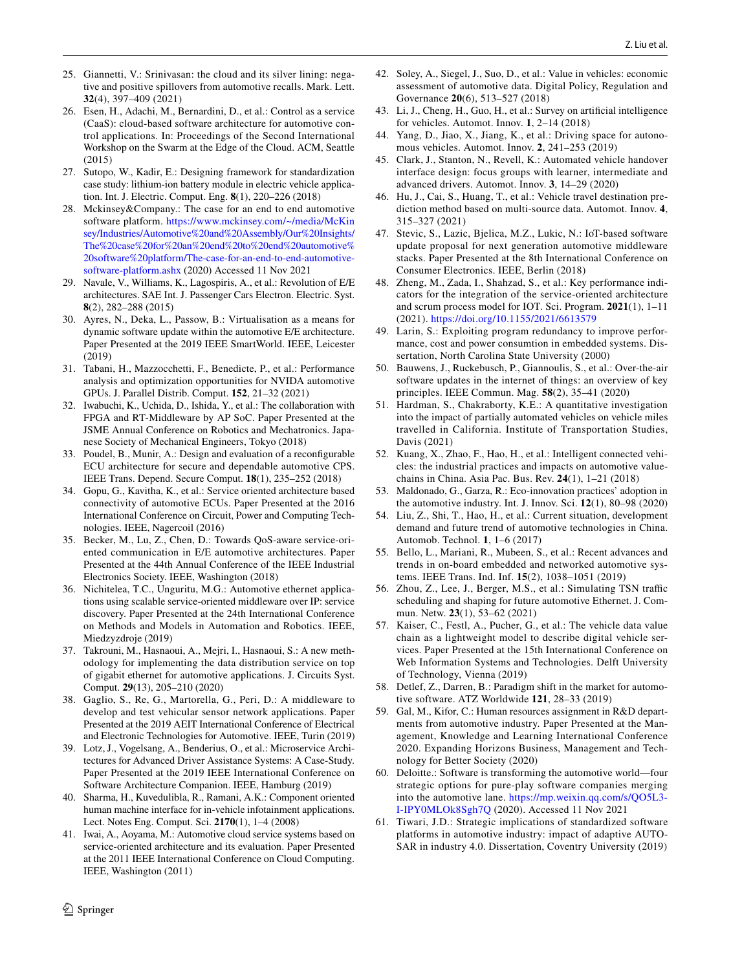- 25. Giannetti, V.: Srinivasan: the cloud and its silver lining: negative and positive spillovers from automotive recalls. Mark. Lett. **32**(4), 397–409 (2021)
- <span id="page-13-0"></span>26. Esen, H., Adachi, M., Bernardini, D., et al.: Control as a service (CaaS): cloud-based software architecture for automotive control applications. In: Proceedings of the Second International Workshop on the Swarm at the Edge of the Cloud. ACM, Seattle (2015)
- <span id="page-13-1"></span>27. Sutopo, W., Kadir, E.: Designing framework for standardization case study: lithium-ion battery module in electric vehicle application. Int. J. Electric. Comput. Eng. **8**(1), 220–226 (2018)
- <span id="page-13-2"></span>28. Mckinsey&Company.: The case for an end to end automotive software platform. [https://www.mckinsey.com/~/media/McKin](https://www.mckinsey.com/~/media/McKinsey/Industries/Automotive%20and%20Assembly/Our%20Insights/The%20case%20for%20an%20end%20to%20end%20automotive%20software%20platform/The-case-for-an-end-to-end-automotive-software-platform.ashx) [sey/Industries/Automotive%20and%20Assembly/Our%20Insights/](https://www.mckinsey.com/~/media/McKinsey/Industries/Automotive%20and%20Assembly/Our%20Insights/The%20case%20for%20an%20end%20to%20end%20automotive%20software%20platform/The-case-for-an-end-to-end-automotive-software-platform.ashx) [The%20case%20for%20an%20end%20to%20end%20automotive%](https://www.mckinsey.com/~/media/McKinsey/Industries/Automotive%20and%20Assembly/Our%20Insights/The%20case%20for%20an%20end%20to%20end%20automotive%20software%20platform/The-case-for-an-end-to-end-automotive-software-platform.ashx) [20software%20platform/The-case-for-an-end-to-end-automotive](https://www.mckinsey.com/~/media/McKinsey/Industries/Automotive%20and%20Assembly/Our%20Insights/The%20case%20for%20an%20end%20to%20end%20automotive%20software%20platform/The-case-for-an-end-to-end-automotive-software-platform.ashx)[software-platform.ashx](https://www.mckinsey.com/~/media/McKinsey/Industries/Automotive%20and%20Assembly/Our%20Insights/The%20case%20for%20an%20end%20to%20end%20automotive%20software%20platform/The-case-for-an-end-to-end-automotive-software-platform.ashx) (2020) Accessed 11 Nov 2021
- <span id="page-13-3"></span>29. Navale, V., Williams, K., Lagospiris, A., et al.: Revolution of E/E architectures. SAE Int. J. Passenger Cars Electron. Electric. Syst. **8**(2), 282–288 (2015)
- <span id="page-13-4"></span>30. Ayres, N., Deka, L., Passow, B.: Virtualisation as a means for dynamic software update within the automotive E/E architecture. Paper Presented at the 2019 IEEE SmartWorld. IEEE, Leicester (2019)
- <span id="page-13-5"></span>31. Tabani, H., Mazzocchetti, F., Benedicte, P., et al.: Performance analysis and optimization opportunities for NVIDA automotive GPUs. J. Parallel Distrib. Comput. **152**, 21–32 (2021)
- <span id="page-13-6"></span>32. Iwabuchi, K., Uchida, D., Ishida, Y., et al.: The collaboration with FPGA and RT-Middleware by AP SoC. Paper Presented at the JSME Annual Conference on Robotics and Mechatronics. Japanese Society of Mechanical Engineers, Tokyo (2018)
- <span id="page-13-7"></span>33. Poudel, B., Munir, A.: Design and evaluation of a reconfgurable ECU architecture for secure and dependable automotive CPS. IEEE Trans. Depend. Secure Comput. **18**(1), 235–252 (2018)
- <span id="page-13-8"></span>34. Gopu, G., Kavitha, K., et al.: Service oriented architecture based connectivity of automotive ECUs. Paper Presented at the 2016 International Conference on Circuit, Power and Computing Technologies. IEEE, Nagercoil (2016)
- <span id="page-13-9"></span>35. Becker, M., Lu, Z., Chen, D.: Towards QoS-aware service-oriented communication in E/E automotive architectures. Paper Presented at the 44th Annual Conference of the IEEE Industrial Electronics Society. IEEE, Washington (2018)
- <span id="page-13-10"></span>36. Nichitelea, T.C., Unguritu, M.G.: Automotive ethernet applications using scalable service-oriented middleware over IP: service discovery. Paper Presented at the 24th International Conference on Methods and Models in Automation and Robotics. IEEE, Miedzyzdroje (2019)
- <span id="page-13-11"></span>37. Takrouni, M., Hasnaoui, A., Mejri, I., Hasnaoui, S.: A new methodology for implementing the data distribution service on top of gigabit ethernet for automotive applications. J. Circuits Syst. Comput. **29**(13), 205–210 (2020)
- <span id="page-13-12"></span>38. Gaglio, S., Re, G., Martorella, G., Peri, D.: A middleware to develop and test vehicular sensor network applications. Paper Presented at the 2019 AEIT International Conference of Electrical and Electronic Technologies for Automotive. IEEE, Turin (2019)
- <span id="page-13-13"></span>39. Lotz, J., Vogelsang, A., Benderius, O., et al.: Microservice Architectures for Advanced Driver Assistance Systems: A Case-Study. Paper Presented at the 2019 IEEE International Conference on Software Architecture Companion. IEEE, Hamburg (2019)
- <span id="page-13-14"></span>40. Sharma, H., Kuvedulibla, R., Ramani, A.K.: Component oriented human machine interface for in-vehicle infotainment applications. Lect. Notes Eng. Comput. Sci. **2170**(1), 1–4 (2008)
- <span id="page-13-15"></span>41. Iwai, A., Aoyama, M.: Automotive cloud service systems based on service-oriented architecture and its evaluation. Paper Presented at the 2011 IEEE International Conference on Cloud Computing. IEEE, Washington (2011)
- <span id="page-13-16"></span>42. Soley, A., Siegel, J., Suo, D., et al.: Value in vehicles: economic assessment of automotive data. Digital Policy, Regulation and Governance **20**(6), 513–527 (2018)
- <span id="page-13-17"></span>43. Li, J., Cheng, H., Guo, H., et al.: Survey on artifcial intelligence for vehicles. Automot. Innov. **1**, 2–14 (2018)
- 44. Yang, D., Jiao, X., Jiang, K., et al.: Driving space for autonomous vehicles. Automot. Innov. **2**, 241–253 (2019)
- 45. Clark, J., Stanton, N., Revell, K.: Automated vehicle handover interface design: focus groups with learner, intermediate and advanced drivers. Automot. Innov. **3**, 14–29 (2020)
- 46. Hu, J., Cai, S., Huang, T., et al.: Vehicle travel destination prediction method based on multi-source data. Automot. Innov. **4**, 315–327 (2021)
- <span id="page-13-18"></span>47. Stevic, S., Lazic, Bjelica, M.Z., Lukic, N.: IoT-based software update proposal for next generation automotive middleware stacks. Paper Presented at the 8th International Conference on Consumer Electronics. IEEE, Berlin (2018)
- <span id="page-13-19"></span>48. Zheng, M., Zada, I., Shahzad, S., et al.: Key performance indicators for the integration of the service-oriented architecture and scrum process model for IOT. Sci. Program. **2021**(1), 1–11 (2021).<https://doi.org/10.1155/2021/6613579>
- <span id="page-13-20"></span>49. Larin, S.: Exploiting program redundancy to improve performance, cost and power consumtion in embedded systems. Dissertation, North Carolina State University (2000)
- <span id="page-13-21"></span>50. Bauwens, J., Ruckebusch, P., Giannoulis, S., et al.: Over-the-air software updates in the internet of things: an overview of key principles. IEEE Commun. Mag. **58**(2), 35–41 (2020)
- <span id="page-13-22"></span>51. Hardman, S., Chakraborty, K.E.: A quantitative investigation into the impact of partially automated vehicles on vehicle miles travelled in California. Institute of Transportation Studies, Davis (2021)
- <span id="page-13-24"></span>52. Kuang, X., Zhao, F., Hao, H., et al.: Intelligent connected vehicles: the industrial practices and impacts on automotive valuechains in China. Asia Pac. Bus. Rev. **24**(1), 1–21 (2018)
- <span id="page-13-23"></span>53. Maldonado, G., Garza, R.: Eco-innovation practices' adoption in the automotive industry. Int. J. Innov. Sci. **12**(1), 80–98 (2020)
- <span id="page-13-25"></span>54. Liu, Z., Shi, T., Hao, H., et al.: Current situation, development demand and future trend of automotive technologies in China. Automob. Technol. **1**, 1–6 (2017)
- 55. Bello, L., Mariani, R., Mubeen, S., et al.: Recent advances and trends in on-board embedded and networked automotive systems. IEEE Trans. Ind. Inf. **15**(2), 1038–1051 (2019)
- 56. Zhou, Z., Lee, J., Berger, M.S., et al.: Simulating TSN traffic scheduling and shaping for future automotive Ethernet. J. Commun. Netw. **23**(1), 53–62 (2021)
- 57. Kaiser, C., Festl, A., Pucher, G., et al.: The vehicle data value chain as a lightweight model to describe digital vehicle services. Paper Presented at the 15th International Conference on Web Information Systems and Technologies. Delft University of Technology, Vienna (2019)
- 58. Detlef, Z., Darren, B.: Paradigm shift in the market for automotive software. ATZ Worldwide **121**, 28–33 (2019)
- 59. Gal, M., Kifor, C.: Human resources assignment in R&D departments from automotive industry. Paper Presented at the Management, Knowledge and Learning International Conference 2020. Expanding Horizons Business, Management and Technology for Better Society (2020)
- 60. Deloitte.: Software is transforming the automotive world—four strategic options for pure-play software companies merging into the automotive lane. [https://mp.weixin.qq.com/s/QO5L3-](https://mp.weixin.qq.com/s/QO5L3-I-IPY0MLOk8Sgh7Q) [I-IPY0MLOk8Sgh7Q](https://mp.weixin.qq.com/s/QO5L3-I-IPY0MLOk8Sgh7Q) (2020). Accessed 11 Nov 2021
- 61. Tiwari, J.D.: Strategic implications of standardized software platforms in automotive industry: impact of adaptive AUTO-SAR in industry 4.0. Dissertation, Coventry University (2019)